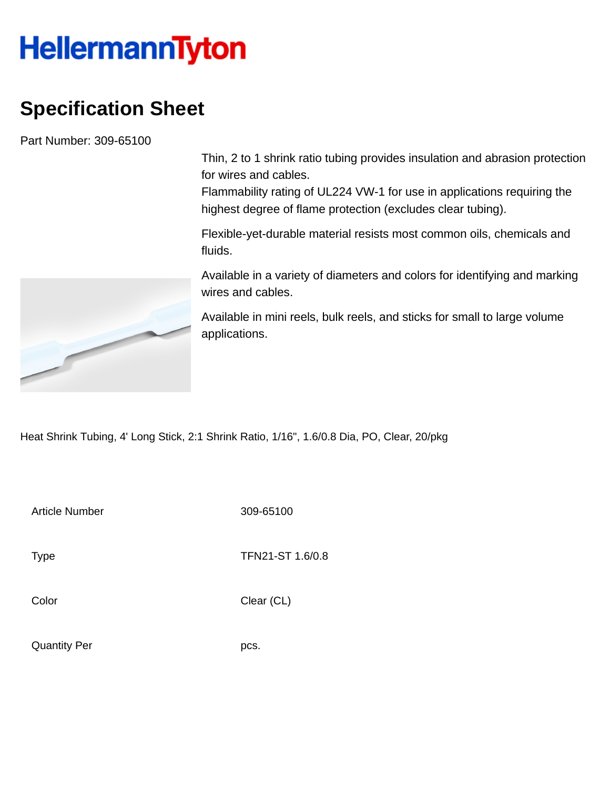## **HellermannTyton**

## **Specification Sheet**

Part Number: 309-65100

Thin, 2 to 1 shrink ratio tubing provides insulation and abrasion protection for wires and cables.

Flammability rating of UL224 VW-1 for use in applications requiring the highest degree of flame protection (excludes clear tubing).

Flexible-yet-durable material resists most common oils, chemicals and fluids.

Available in a variety of diameters and colors for identifying and marking wires and cables.

Available in mini reels, bulk reels, and sticks for small to large volume applications.

Heat Shrink Tubing, 4' Long Stick, 2:1 Shrink Ratio, 1/16", 1.6/0.8 Dia, PO, Clear, 20/pkg

Article Number 309-65100

Type **TFN21-ST 1.6/0.8** 

Color Clear (CL)

Quantity Per pcs.

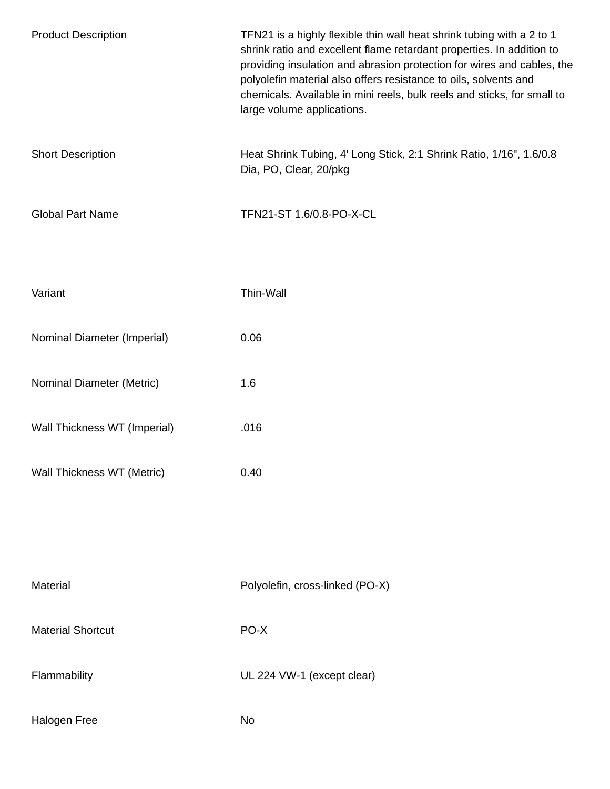| <b>Product Description</b>   | TFN21 is a highly flexible thin wall heat shrink tubing with a 2 to 1<br>shrink ratio and excellent flame retardant properties. In addition to<br>providing insulation and abrasion protection for wires and cables, the<br>polyolefin material also offers resistance to oils, solvents and<br>chemicals. Available in mini reels, bulk reels and sticks, for small to<br>large volume applications. |
|------------------------------|-------------------------------------------------------------------------------------------------------------------------------------------------------------------------------------------------------------------------------------------------------------------------------------------------------------------------------------------------------------------------------------------------------|
| <b>Short Description</b>     | Heat Shrink Tubing, 4' Long Stick, 2:1 Shrink Ratio, 1/16", 1.6/0.8<br>Dia, PO, Clear, 20/pkg                                                                                                                                                                                                                                                                                                         |
| <b>Global Part Name</b>      | TFN21-ST 1.6/0.8-PO-X-CL                                                                                                                                                                                                                                                                                                                                                                              |
| Variant                      | Thin-Wall                                                                                                                                                                                                                                                                                                                                                                                             |
| Nominal Diameter (Imperial)  | 0.06                                                                                                                                                                                                                                                                                                                                                                                                  |
| Nominal Diameter (Metric)    | 1.6                                                                                                                                                                                                                                                                                                                                                                                                   |
| Wall Thickness WT (Imperial) | .016                                                                                                                                                                                                                                                                                                                                                                                                  |
| Wall Thickness WT (Metric)   | 0.40                                                                                                                                                                                                                                                                                                                                                                                                  |
|                              |                                                                                                                                                                                                                                                                                                                                                                                                       |
| Material                     | Polyolefin, cross-linked (PO-X)                                                                                                                                                                                                                                                                                                                                                                       |
| <b>Material Shortcut</b>     | PO-X                                                                                                                                                                                                                                                                                                                                                                                                  |
| Flammability                 | UL 224 VW-1 (except clear)                                                                                                                                                                                                                                                                                                                                                                            |
| Halogen Free                 | No                                                                                                                                                                                                                                                                                                                                                                                                    |